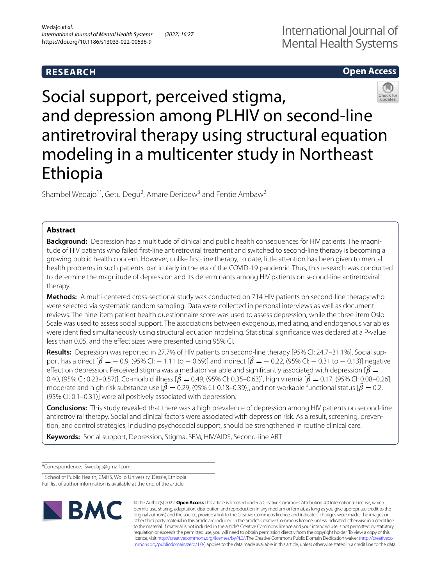# **RESEARCH**

# **Open Access**



Social support, perceived stigma, and depression among PLHIV on second-line antiretroviral therapy using structural equation modeling in a multicenter study in Northeast Ethiopia

Shambel Wedajo<sup>1\*</sup>, Getu Degu<sup>2</sup>, Amare Deribew<sup>3</sup> and Fentie Ambaw<sup>2</sup>

## **Abstract**

**Background:** Depression has a multitude of clinical and public health consequences for HIV patients. The magnitude of HIV patients who failed frst-line antiretroviral treatment and switched to second-line therapy is becoming a growing public health concern. However, unlike frst-line therapy, to date, little attention has been given to mental health problems in such patients, particularly in the era of the COVID-19 pandemic. Thus, this research was conducted to determine the magnitude of depression and its determinants among HIV patients on second-line antiretroviral therapy.

**Methods:** A multi-centered cross-sectional study was conducted on 714 HIV patients on second-line therapy who were selected via systematic random sampling. Data were collected in personal interviews as well as document reviews. The nine-item patient health questionnaire score was used to assess depression, while the three-item Oslo Scale was used to assess social support. The associations between exogenous, mediating, and endogenous variables were identifed simultaneously using structural equation modeling. Statistical signifcance was declared at a P-value less than 0.05, and the effect sizes were presented using 95% CI.

**Results:** Depression was reported in 27.7% of HIV patients on second-line therapy [95% CI: 24.7–31.1%]. Social support has a direct  $[\hat{\beta} = -0.9, (95\% \text{ Cl} : -1.11 \text{ to } -0.69)]$  and indirect  $[\hat{\beta} = -0.22, (95\% \text{ Cl} : -0.31 \text{ to } -0.13)]$  negative effect on depression. Perceived stigma was a mediator variable and significantly associated with depression  $\hat{\beta}$  = 0.40, (95% CI: 0.23–0.57)]. Co-morbid illness [ $\hat{\beta} = 0.49$ , (95% CI: 0.35–0.63)], high viremia [ $\hat{\beta} = 0.17$ , (95% CI: 0.08–0.26], moderate and high-risk substance use  $\hat{\beta} = 0.29$ , (95% CI: 0.18–0.39)], and not-workable functional status  $\hat{\beta} = 0.2$ , (95% CI: 0.1–0.31)] were all positively associated with depression.

**Conclusions:** This study revealed that there was a high prevalence of depression among HIV patients on second-line antiretroviral therapy. Social and clinical factors were associated with depression risk. As a result, screening, prevention, and control strategies, including psychosocial support, should be strengthened in routine clinical care.

**Keywords:** Social support, Depression, Stigma, SEM, HIV/AIDS, Second-line ART

\*Correspondence: Swedajo@gmail.com

<sup>&</sup>lt;sup>1</sup> School of Public Health, CMHS, Wollo University, Dessie, Ethiopia Full list of author information is available at the end of the article



© The Author(s) 2022. **Open Access** This article is licensed under a Creative Commons Attribution 4.0 International License, which permits use, sharing, adaptation, distribution and reproduction in any medium or format, as long as you give appropriate credit to the original author(s) and the source, provide a link to the Creative Commons licence, and indicate if changes were made. The images or other third party material in this article are included in the article's Creative Commons licence, unless indicated otherwise in a credit line to the material. If material is not included in the article's Creative Commons licence and your intended use is not permitted by statutory regulation or exceeds the permitted use, you will need to obtain permission directly from the copyright holder. To view a copy of this licence, visit [http://creativecommons.org/licenses/by/4.0/.](http://creativecommons.org/licenses/by/4.0/) The Creative Commons Public Domain Dedication waiver ([http://creativeco](http://creativecommons.org/publicdomain/zero/1.0/) [mmons.org/publicdomain/zero/1.0/](http://creativecommons.org/publicdomain/zero/1.0/)) applies to the data made available in this article, unless otherwise stated in a credit line to the data.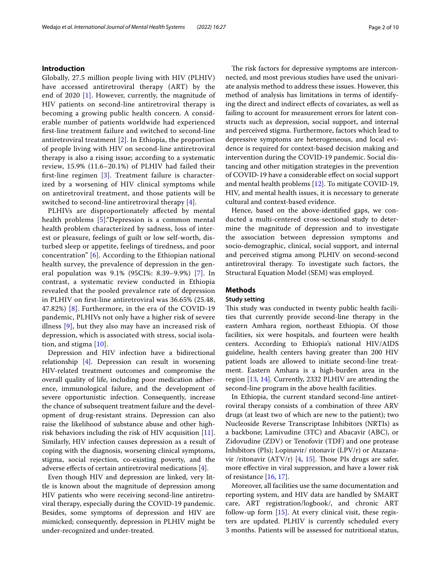## **Introduction**

Globally, 27.5 million people living with HIV (PLHIV) have accessed antiretroviral therapy (ART) by the end of 2020 [[1](#page-8-0)]. However, currently, the magnitude of HIV patients on second-line antiretroviral therapy is becoming a growing public health concern. A considerable number of patients worldwide had experienced frst-line treatment failure and switched to second-line antiretroviral treatment [[2\]](#page-8-1). In Ethiopia, the proportion of people living with HIV on second-line antiretroviral therapy is also a rising issue; according to a systematic review, 15.9% (11.6–20.1%) of PLHIV had failed their frst-line regimen [[3](#page-8-2)]. Treatment failure is characterized by a worsening of HIV clinical symptoms while on antiretroviral treatment, and those patients will be switched to second-line antiretroviral therapy [[4](#page-8-3)].

PLHIVs are disproportionately affected by mental health problems [[5\]](#page-8-4)."Depression is a common mental health problem characterized by sadness, loss of interest or pleasure, feelings of guilt or low self-worth, disturbed sleep or appetite, feelings of tiredness, and poor concentration" [[6](#page-8-5)]. According to the Ethiopian national health survey, the prevalence of depression in the general population was 9.1% (95CI%: 8.39–9.9%) [[7](#page-8-6)]. In contrast, a systematic review conducted in Ethiopia revealed that the pooled prevalence rate of depression in PLHIV on frst-line antiretroviral was 36.65% (25.48, 47.82%) [\[8](#page-8-7)]. Furthermore, in the era of the COVID-19 pandemic, PLHIVs not only have a higher risk of severe illness [[9\]](#page-8-8), but they also may have an increased risk of depression, which is associated with stress, social isolation, and stigma [\[10](#page-8-9)].

Depression and HIV infection have a bidirectional relationship [[4\]](#page-8-3). Depression can result in worsening HIV-related treatment outcomes and compromise the overall quality of life, including poor medication adherence, immunological failure, and the development of severe opportunistic infection. Consequently, increase the chance of subsequent treatment failure and the development of drug-resistant strains. Depression can also raise the likelihood of substance abuse and other highrisk behaviors including the risk of HIV acquisition [\[11](#page-9-0)]. Similarly, HIV infection causes depression as a result of coping with the diagnosis, worsening clinical symptoms, stigma, social rejection, co-existing poverty, and the adverse efects of certain antiretroviral medications [\[4](#page-8-3)].

Even though HIV and depression are linked, very little is known about the magnitude of depression among HIV patients who were receiving second-line antiretroviral therapy, especially during the COVID-19 pandemic. Besides, some symptoms of depression and HIV are mimicked; consequently, depression in PLHIV might be under-recognized and under-treated.

The risk factors for depressive symptoms are interconnected, and most previous studies have used the univariate analysis method to address these issues. However, this method of analysis has limitations in terms of identifying the direct and indirect efects of covariates, as well as failing to account for measurement errors for latent constructs such as depression, social support, and internal and perceived stigma. Furthermore, factors which lead to depressive symptoms are heterogeneous, and local evidence is required for context-based decision making and intervention during the COVID-19 pandemic. Social distancing and other mitigation strategies in the prevention of COVID-19 have a considerable efect on social support and mental health problems [[12](#page-9-1)]. To mitigate COVID-19, HIV, and mental health issues, it is necessary to generate cultural and context-based evidence.

Hence, based on the above-identifed gaps, we conducted a multi-centered cross-sectional study to determine the magnitude of depression and to investigate the association between depression symptoms and socio-demographic, clinical, social support, and internal and perceived stigma among PLHIV on second-second antiretroviral therapy. To investigate such factors, the Structural Equation Model (SEM) was employed.

## **Methods**

## **Study setting**

This study was conducted in twenty public health facilities that currently provide second-line therapy in the eastern Amhara region, northeast Ethiopia. Of those facilities, six were hospitals, and fourteen were health centers. According to Ethiopia's national HIV/AIDS guideline, health centers having greater than 200 HIV patient loads are allowed to initiate second-line treatment. Eastern Amhara is a high-burden area in the region [\[13,](#page-9-2) [14\]](#page-9-3). Currently, 2332 PLHIV are attending the second-line program in the above health facilities.

In Ethiopia, the current standard second-line antiretroviral therapy consists of a combination of three ARV drugs (at least two of which are new to the patient); two Nucleoside Reverse Transcriptase Inhibitors (NRTIs) as a backbone; Lamivudine (3TC) and Abacavir (ABC), or Zidovudine (ZDV) or Tenofovir (TDF) and one protease Inhibitors (PIs); Lopinavir/ ritonavir (LPV/r) or Atazana-vir /ritonavir (ATV/r) [\[4,](#page-8-3) [15](#page-9-4)]. Those PIs drugs are safer, more efective in viral suppression, and have a lower risk of resistance [\[16,](#page-9-5) [17](#page-9-6)].

Moreover, all facilities use the same documentation and reporting system, and HIV data are handled by SMART care, ART registration/logbook/, and chronic ART follow-up form [\[15](#page-9-4)]. At every clinical visit, these registers are updated. PLHIV is currently scheduled every 3 months. Patients will be assessed for nutritional status,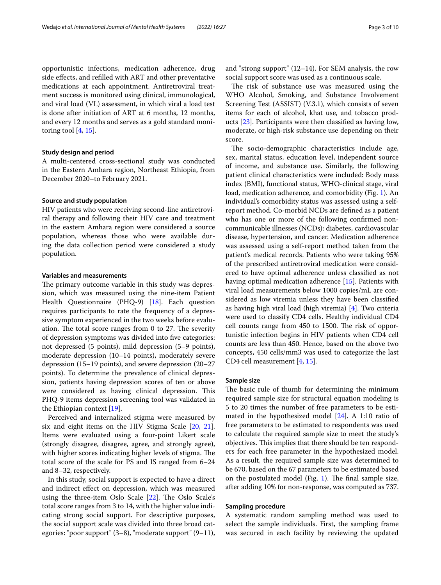opportunistic infections, medication adherence, drug side efects, and reflled with ART and other preventative medications at each appointment. Antiretroviral treatment success is monitored using clinical, immunological,

and viral load (VL) assessment, in which viral a load test is done after initiation of ART at 6 months, 12 months, and every 12 months and serves as a gold standard monitoring tool [[4,](#page-8-3) [15\]](#page-9-4).

#### **Study design and period**

A multi-centered cross-sectional study was conducted in the Eastern Amhara region, Northeast Ethiopia, from December 2020–to February 2021.

## **Source and study population**

HIV patients who were receiving second-line antiretroviral therapy and following their HIV care and treatment in the eastern Amhara region were considered a source population, whereas those who were available during the data collection period were considered a study population.

## **Variables and measurements**

The primary outcome variable in this study was depression, which was measured using the nine-item Patient Health Questionnaire (PHQ-9) [[18\]](#page-9-7). Each question requires participants to rate the frequency of a depressive symptom experienced in the two weeks before evaluation. The total score ranges from 0 to 27. The severity of depression symptoms was divided into fve categories: not depressed (5 points), mild depression (5–9 points), moderate depression (10–14 points), moderately severe depression (15–19 points), and severe depression (20–27 points). To determine the prevalence of clinical depression, patients having depression scores of ten or above were considered as having clinical depression. This PHQ-9 items depression screening tool was validated in the Ethiopian context [[19\]](#page-9-8).

Perceived and internalized stigma were measured by six and eight items on the HIV Stigma Scale [[20,](#page-9-9) [21](#page-9-10)]. Items were evaluated using a four-point Likert scale (strongly disagree, disagree, agree, and strongly agree), with higher scores indicating higher levels of stigma. The total score of the scale for PS and IS ranged from 6–24 and 8–32, respectively.

In this study, social support is expected to have a direct and indirect efect on depression, which was measured using the three-item Oslo Scale [\[22\]](#page-9-11). The Oslo Scale's total score ranges from 3 to 14, with the higher value indicating strong social support. For descriptive purposes, the social support scale was divided into three broad categories: "poor support" (3–8), "moderate support" (9–11), and "strong support" (12–14). For SEM analysis, the row social support score was used as a continuous scale.

The risk of substance use was measured using the WHO Alcohol, Smoking, and Substance Involvement Screening Test (ASSIST) (V.3.1), which consists of seven items for each of alcohol, khat use, and tobacco products [[23\]](#page-9-12). Participants were then classifed as having low, moderate, or high-risk substance use depending on their score.

The socio-demographic characteristics include age, sex, marital status, education level, independent source of income, and substance use. Similarly, the following patient clinical characteristics were included: Body mass index (BMI), functional status, WHO-clinical stage, viral load, medication adherence, and comorbidity (Fig. [1](#page-3-0)). An individual's comorbidity status was assessed using a selfreport method. Co-morbid NCDs are defned as a patient who has one or more of the following confrmed noncommunicable illnesses (NCDs): diabetes, cardiovascular disease, hypertension, and cancer. Medication adherence was assessed using a self-report method taken from the patient's medical records. Patients who were taking 95% of the prescribed antiretroviral medication were considered to have optimal adherence unless classifed as not having optimal medication adherence [\[15](#page-9-4)]. Patients with viral load measurements below 1000 copies/mL are considered as low viremia unless they have been classifed as having high viral load (high viremia) [[4](#page-8-3)]. Two criteria were used to classify CD4 cells. Healthy individual CD4 cell counts range from 450 to 1500. The risk of opportunistic infection begins in HIV patients when CD4 cell counts are less than 450. Hence, based on the above two concepts, 450 cells/mm3 was used to categorize the last CD4 cell measurement [[4,](#page-8-3) [15\]](#page-9-4).

#### **Sample size**

The basic rule of thumb for determining the minimum required sample size for structural equation modeling is 5 to 20 times the number of free parameters to be estimated in the hypothesized model [[24](#page-9-13)]. A 1:10 ratio of free parameters to be estimated to respondents was used to calculate the required sample size to meet the study's objectives. This implies that there should be ten responders for each free parameter in the hypothesized model. As a result, the required sample size was determined to be 670, based on the 67 parameters to be estimated based on the postulated model (Fig. [1\)](#page-3-0). The final sample size, after adding 10% for non-response, was computed as 737.

#### **Sampling procedure**

A systematic random sampling method was used to select the sample individuals. First, the sampling frame was secured in each facility by reviewing the updated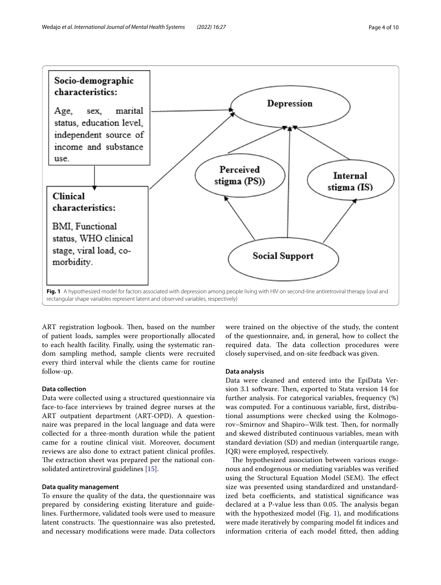

<span id="page-3-0"></span>ART registration logbook. Then, based on the number of patient loads, samples were proportionally allocated to each health facility. Finally, using the systematic random sampling method, sample clients were recruited every third interval while the clients came for routine follow-up.

### **Data collection**

Data were collected using a structured questionnaire via face-to-face interviews by trained degree nurses at the ART outpatient department (ART-OPD). A questionnaire was prepared in the local language and data were collected for a three-month duration while the patient came for a routine clinical visit. Moreover, document reviews are also done to extract patient clinical profles. The extraction sheet was prepared per the national consolidated antiretroviral guidelines [\[15](#page-9-4)].

### **Data quality management**

To ensure the quality of the data, the questionnaire was prepared by considering existing literature and guidelines. Furthermore, validated tools were used to measure latent constructs. The questionnaire was also pretested, and necessary modifcations were made. Data collectors were trained on the objective of the study, the content of the questionnaire, and, in general, how to collect the required data. The data collection procedures were closely supervised, and on-site feedback was given.

#### **Data analysis**

Data were cleaned and entered into the EpiData Version 3.1 software. Then, exported to Stata version 14 for further analysis. For categorical variables, frequency (%) was computed. For a continuous variable, frst, distributional assumptions were checked using the Kolmogorov–Smirnov and Shapiro–Wilk test. Then, for normally and skewed distributed continuous variables, mean with standard deviation (SD) and median (interquartile range, IQR) were employed, respectively.

The hypothesized association between various exogenous and endogenous or mediating variables was verifed using the Structural Equation Model (SEM). The effect size was presented using standardized and unstandardized beta coefficients, and statistical significance was declared at a P-value less than 0.05. The analysis began with the hypothesized model (Fig. [1](#page-3-0)), and modifcations were made iteratively by comparing model ft indices and information criteria of each model ftted, then adding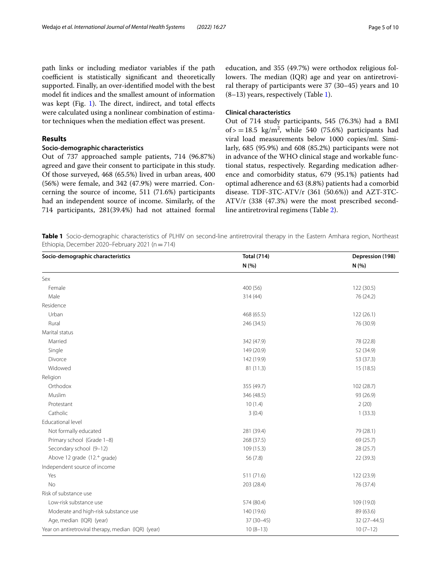path links or including mediator variables if the path coefficient is statistically significant and theoretically supported. Finally, an over-identifed model with the best model ft indices and the smallest amount of information was kept (Fig. [1\)](#page-3-0). The direct, indirect, and total effects were calculated using a nonlinear combination of estimator techniques when the mediation efect was present.

## **Results**

## **Socio‑demographic characteristics**

Out of 737 approached sample patients, 714 (96.87%) agreed and gave their consent to participate in this study. Of those surveyed, 468 (65.5%) lived in urban areas, 400 (56%) were female, and 342 (47.9%) were married. Concerning the source of income, 511 (71.6%) participants had an independent source of income. Similarly, of the 714 participants, 281(39.4%) had not attained formal education, and 355 (49.7%) were orthodox religious followers. The median (IQR) age and year on antiretroviral therapy of participants were 37 (30–45) years and 10  $(8-13)$  years, respectively (Table [1](#page-4-0)).

#### **Clinical characteristics**

Out of 714 study participants, 545 (76.3%) had a BMI of  $> = 18.5$  kg/m<sup>2</sup>, while 540 (75.6%) participants had viral load measurements below 1000 copies/ml. Similarly, 685 (95.9%) and 608 (85.2%) participants were not in advance of the WHO clinical stage and workable functional status, respectively. Regarding medication adherence and comorbidity status, 679 (95.1%) patients had optimal adherence and 63 (8.8%) patients had a comorbid disease. TDF-3TC-ATV/r (361 (50.6%)) and AZT-3TC-ATV/r (338 (47.3%) were the most prescribed secondline antiretroviral regimens (Table [2](#page-5-0)).

<span id="page-4-0"></span>**Table 1** Socio-demographic characteristics of PLHIV on second-line antiretroviral therapy in the Eastern Amhara region, Northeast Ethiopia, December 2020–February 2021 ( $n=714$ )

| Socio-demographic characteristics                   | <b>Total (714)</b> | Depression (198) |
|-----------------------------------------------------|--------------------|------------------|
|                                                     | N (%)              | N(% )            |
| Sex                                                 |                    |                  |
| Female                                              | 400 (56)           | 122 (30.5)       |
| Male                                                | 314 (44)           | 76 (24.2)        |
| Residence                                           |                    |                  |
| Urban                                               | 468 (65.5)         | 122(26.1)        |
| Rural                                               | 246 (34.5)         | 76 (30.9)        |
| Marital status                                      |                    |                  |
| Married                                             | 342 (47.9)         | 78 (22.8)        |
| Single                                              | 149 (20.9)         | 52 (34.9)        |
| Divorce                                             | 142 (19.9)         | 53 (37.3)        |
| Widowed                                             | 81 (11.3)          | 15(18.5)         |
| Religion                                            |                    |                  |
| Orthodox                                            | 355 (49.7)         | 102 (28.7)       |
| Muslim                                              | 346 (48.5)         | 93 (26.9)        |
| Protestant                                          | 10(1.4)            | 2(20)            |
| Catholic                                            | 3(0.4)             | 1(33.3)          |
| Educational level                                   |                    |                  |
| Not formally educated                               | 281 (39.4)         | 79 (28.1)        |
| Primary school (Grade 1-8)                          | 268 (37.5)         | 69 (25.7)        |
| Secondary school (9-12)                             | 109 (15.3)         | 28 (25.7)        |
| Above 12 grade (12. <sup>+</sup> grade)             | 56 (7.8)           | 22(39.3)         |
| Independent source of income                        |                    |                  |
| Yes                                                 | 511 (71.6)         | 122 (23.9)       |
| <b>No</b>                                           | 203 (28.4)         | 76 (37.4)        |
| Risk of substance use                               |                    |                  |
| Low-risk substance use                              | 574 (80.4)         | 109 (19.0)       |
| Moderate and high-risk substance use                | 140 (19.6)         | 89 (63.6)        |
| Age, median (IQR) (year)                            | $37(30-45)$        | $32(27 - 44.5)$  |
| Year on antiretroviral therapy, median (IQR) (year) | $10(8-13)$         | $10(7-12)$       |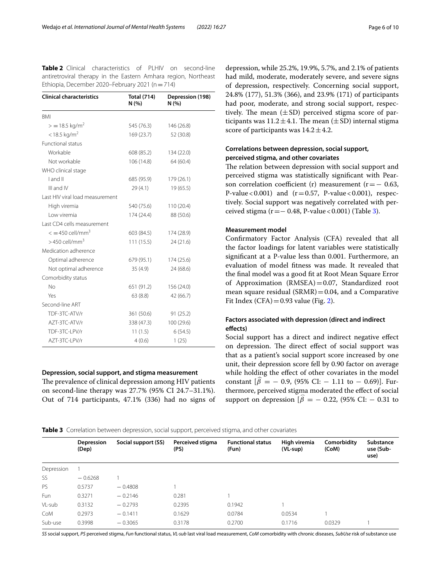<span id="page-5-0"></span>**Table 2** Clinical characteristics of PLHIV on second-line antiretroviral therapy in the Eastern Amhara region, Northeast Ethiopia, December 2020–February 2021 ( $n=714$ )

| <b>Clinical characteristics</b>       | <b>Total (714)</b><br>N(% ) | Depression (198)<br>N (%) |  |
|---------------------------------------|-----------------------------|---------------------------|--|
| <b>BMI</b>                            |                             |                           |  |
| $>$ = 18.5 kg/m <sup>2</sup>          | 545 (76.3)                  | 146 (26.8)                |  |
| $<$ 18.5 kg/m <sup>2</sup>            | 169 (23.7)                  | 52 (30.8)                 |  |
| Functional status                     |                             |                           |  |
| Workable                              | 608 (85.2)                  | 134 (22.0)                |  |
| Not workable                          | 106 (14.8)                  | 64 (60.4)                 |  |
| WHO clinical stage                    |                             |                           |  |
| I and II                              | 685 (95.9)                  | 179 (26.1)                |  |
| III and IV                            | 29 (4.1)                    | 19 (65.5)                 |  |
| Last HIV viral load measurement       |                             |                           |  |
| High viremia                          | 540 (75.6)                  | 110 (20.4)                |  |
| I ow viremia                          | 174 (24.4)                  | 88 (50.6)                 |  |
| Last CD4 cells measurement            |                             |                           |  |
| $\epsilon = 450$ cell/mm <sup>3</sup> | 603 (84.5)                  | 174 (28.9)                |  |
| $>$ 450 cell/mm <sup>3</sup>          | 111(15.5)                   | 24(21.6)                  |  |
| Medication adherence                  |                             |                           |  |
| Optimal adherence                     | 679 (95.1)                  | 174 (25.6)                |  |
| Not optimal adherence                 | 35(4.9)                     | 24 (68.6)                 |  |
| Comorbidity status                    |                             |                           |  |
| No                                    | 651 (91.2)                  | 156 (24.0)                |  |
| Yes                                   | 63(8.8)                     | 42 (66.7)                 |  |
| Second-line ART                       |                             |                           |  |
| TDF-3TC-ATV/r                         | 361 (50.6)                  | 91(25.2)                  |  |
| AZT-3TC-ATV/r                         | 338 (47.3)                  | 100 (29.6)                |  |
| TDF-3TC-LPV/r                         | 11(1.5)                     | 6(54.5)                   |  |
| AZT-3TC-LPV/r                         | 4(0.6)                      | 1(25)                     |  |

#### **Depression, social support, and stigma measurement**

The prevalence of clinical depression among HIV patients on second-line therapy was 27.7% (95% CI 24.7–31.1%). Out of 714 participants, 47.1% (336) had no signs of

depression, while 25.2%, 19.9%, 5.7%, and 2.1% of patients had mild, moderate, moderately severe, and severe signs of depression, respectively. Concerning social support, 24.8% (177), 51.3% (366), and 23.9% (171) of participants had poor, moderate, and strong social support, respectively. The mean  $(\pm SD)$  perceived stigma score of participants was  $11.2 \pm 4.1$ . The mean ( $\pm$ SD) internal stigma score of participants was  $14.2 \pm 4.2$ .

## **Correlations between depression, social support, perceived stigma, and other covariates**

The relation between depression with social support and perceived stigma was statistically signifcant with Pearson correlation coefficient (r) measurement ( $r=-0.63$ , P-value < 0.001) and  $(r=0.57, P-value < 0.001)$ , respectively. Social support was negatively correlated with perceived stigma ( $r = -0.48$ , P-value < 0.001) (Table [3](#page-5-1)).

## **Measurement model**

Confrmatory Factor Analysis (CFA) revealed that all the factor loadings for latent variables were statistically signifcant at a P-value less than 0.001. Furthermore, an evaluation of model ftness was made. It revealed that the fnal model was a good ft at Root Mean Square Error of Approximation (RMSEA)=0.07, Standardized root mean square residual  $(SRMR)=0.04$ , and a Comparative Fit Index (CFA) =  $0.93$  value (Fig. [2\)](#page-6-0).

## **Factors associated with depression (direct and indirect efects)**

Social support has a direct and indirect negative efect on depression. The direct effect of social support was that as a patient's social support score increased by one unit, their depression score fell by 0.90 factor on average while holding the effect of other covariates in the model constant  $[\beta = -0.9, (95\% \text{ CI:} -1.11 \text{ to } -0.69)]$ . Furthermore, perceived stigma moderated the efect of social support on depression  $\beta = -0.22$ , (95% CI:  $-0.31$  to

<span id="page-5-1"></span>

| Table 3 Correlation between depression, social support, perceived stigma, and other covariates |
|------------------------------------------------------------------------------------------------|
|------------------------------------------------------------------------------------------------|

| use (Sub- |
|-----------|
|           |
|           |
|           |
|           |
|           |
|           |
|           |
|           |

*SS* social support, *PS* perceived stigma, *Fun* functional status, *VL-sub* last viral load measurement, *CoM* comorbidity with chronic diseases, *SubUse* risk of substance use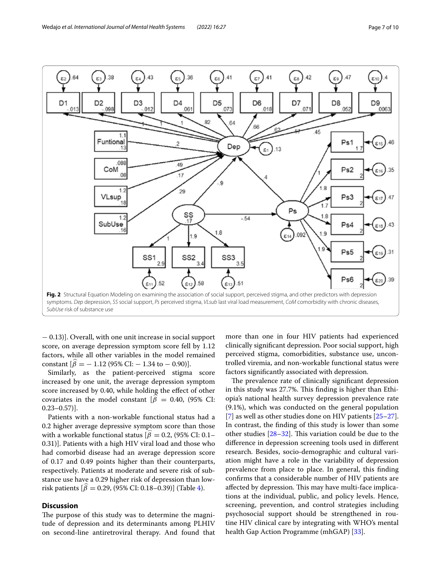

<span id="page-6-0"></span>− 0.13)]. Overall, with one unit increase in social support score, on average depression symptom score fell by 1.12 factors, while all other variables in the model remained constant  $\left[\beta = -1.12\right. (95\% \text{ CI:} - 1.34 \text{ to } -0.90)$ .

Similarly, as the patient-perceived stigma score increased by one unit, the average depression symptom score increased by 0.40, while holding the efect of other covariates in the model constant [ $\beta$  = 0.40, (95% CI:  $0.23 - 0.57$ ].

Patients with a non-workable functional status had a 0.2 higher average depressive symptom score than those with a workable functional status [ $\beta = 0.2$ , (95% CI: 0.1– 0.31)]. Patients with a high HIV viral load and those who had comorbid disease had an average depression score of 0.17 and 0.49 points higher than their counterparts, respectively. Patients at moderate and severe risk of substance use have a 0.29 higher risk of depression than lowrisk patients  $[\beta = 0.29, (95\% \text{ CI: } 0.18-0.39)]$  (Table [4](#page-7-0)).

## **Discussion**

The purpose of this study was to determine the magnitude of depression and its determinants among PLHIV on second-line antiretroviral therapy. And found that more than one in four HIV patients had experienced clinically signifcant depression. Poor social support, high perceived stigma, comorbidities, substance use, uncontrolled viremia, and non-workable functional status were factors signifcantly associated with depression.

The prevalence rate of clinically significant depression in this study was 27.7%. This finding is higher than Ethiopia's national health survey depression prevalence rate (9.1%), which was conducted on the general population [[7\]](#page-8-6) as well as other studies done on HIV patients [[25](#page-9-14)[–27](#page-9-15)]. In contrast, the fnding of this study is lower than some other studies  $[28-32]$  $[28-32]$ . This variation could be due to the diference in depression screening tools used in diferent research. Besides, socio-demographic and cultural variation might have a role in the variability of depression prevalence from place to place. In general, this fnding confrms that a considerable number of HIV patients are affected by depression. This may have multi-face implications at the individual, public, and policy levels. Hence, screening, prevention, and control strategies including psychosocial support should be strengthened in routine HIV clinical care by integrating with WHO's mental health Gap Action Programme (mhGAP) [\[33\]](#page-9-18).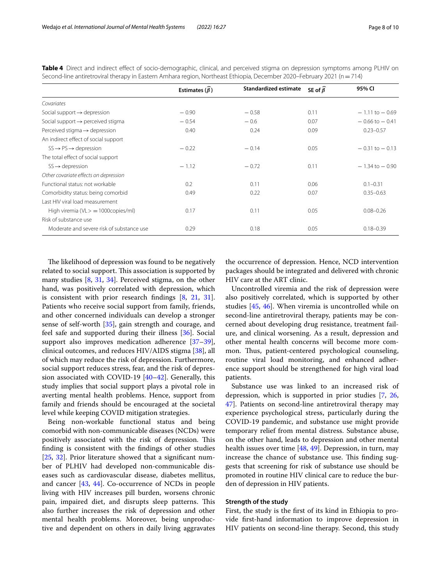|                                               | Estimates $(\widehat{\beta})$ | Standardized estimate | SE of $\widehat{\beta}$ | 95% CI             |
|-----------------------------------------------|-------------------------------|-----------------------|-------------------------|--------------------|
| Covariates                                    |                               |                       |                         |                    |
| Social support $\rightarrow$ depression       | $-0.90$                       | $-0.58$               | 0.11                    | $-1.11$ to $-0.69$ |
| Social support $\rightarrow$ perceived stigma | $-0.54$                       | $-0.6$                | 0.07                    | $-0.66$ to $-0.41$ |
| Perceived stigma $\rightarrow$ depression     | 0.40                          | 0.24                  | 0.09                    | $0.23 - 0.57$      |
| An indirect effect of social support          |                               |                       |                         |                    |
| $SS \rightarrow PS \rightarrow depression$    | $-0.22$                       | $-0.14$               | 0.05                    | $-0.31$ to $-0.13$ |
| The total effect of social support            |                               |                       |                         |                    |
| $SS \rightarrow$ depression                   | $-1.12$                       | $-0.72$               | 0.11                    | $-1.34$ to $-0.90$ |
| Other covariate effects on depression         |                               |                       |                         |                    |
| Functional status: not workable               | 0.2                           | 0.11                  | 0.06                    | $0.1 - 0.31$       |
| Comorbidity status: being comorbid            | 0.49                          | 0.22                  | 0.07                    | $0.35 - 0.63$      |
| Last HIV viral load measurement               |                               |                       |                         |                    |
| High viremia ( $VL$ $>$ $=$ 1000copies/ml)    | 0.17                          | 0.11                  | 0.05                    | $0.08 - 0.26$      |
| Risk of substance use                         |                               |                       |                         |                    |
| Moderate and severe risk of substance use     | 0.29                          | 0.18                  | 0.05                    | $0.18 - 0.39$      |

<span id="page-7-0"></span>**Table 4** Direct and indirect efect of socio-demographic, clinical, and perceived stigma on depression symptoms among PLHIV on Second-line antiretroviral therapy in Eastern Amhara region, Northeast Ethiopia, December 2020–February 2021 (n=714)

The likelihood of depression was found to be negatively related to social support. This association is supported by many studies [[8,](#page-8-7) [31](#page-9-19), [34\]](#page-9-20). Perceived stigma, on the other hand, was positively correlated with depression, which is consistent with prior research fndings [[8](#page-8-7), [21,](#page-9-10) [31](#page-9-19)]. Patients who receive social support from family, friends, and other concerned individuals can develop a stronger sense of self-worth [\[35](#page-9-21)], gain strength and courage, and feel safe and supported during their illness [[36\]](#page-9-22). Social support also improves medication adherence [[37](#page-9-23)[–39](#page-9-24)], clinical outcomes, and reduces HIV/AIDS stigma [\[38](#page-9-25)], all of which may reduce the risk of depression. Furthermore, social support reduces stress, fear, and the risk of depression associated with COVID-19 [\[40](#page-9-26)[–42\]](#page-9-27). Generally, this study implies that social support plays a pivotal role in averting mental health problems. Hence, support from family and friends should be encouraged at the societal level while keeping COVID mitigation strategies.

Being non-workable functional status and being comorbid with non-communicable diseases (NCDs) were positively associated with the risk of depression. This fnding is consistent with the fndings of other studies [[25,](#page-9-14) [32](#page-9-17)]. Prior literature showed that a signifcant number of PLHIV had developed non-communicable diseases such as cardiovascular disease, diabetes mellitus, and cancer [[43,](#page-9-28) [44\]](#page-9-29). Co-occurrence of NCDs in people living with HIV increases pill burden, worsens chronic pain, impaired diet, and disrupts sleep patterns. This also further increases the risk of depression and other mental health problems. Moreover, being unproductive and dependent on others in daily living aggravates the occurrence of depression. Hence, NCD intervention packages should be integrated and delivered with chronic HIV care at the ART clinic.

Uncontrolled viremia and the risk of depression were also positively correlated, which is supported by other studies [[45,](#page-9-30) [46](#page-9-31)]. When viremia is uncontrolled while on second-line antiretroviral therapy, patients may be concerned about developing drug resistance, treatment failure, and clinical worsening. As a result, depression and other mental health concerns will become more common. Thus, patient-centered psychological counseling, routine viral load monitoring, and enhanced adherence support should be strengthened for high viral load patients.

Substance use was linked to an increased risk of depression, which is supported in prior studies [\[7,](#page-8-6) [26](#page-9-32), [47\]](#page-9-33). Patients on second-line antiretroviral therapy may experience psychological stress, particularly during the COVID-19 pandemic, and substance use might provide temporary relief from mental distress. Substance abuse, on the other hand, leads to depression and other mental health issues over time [\[48](#page-9-34), [49](#page-9-35)]. Depression, in turn, may increase the chance of substance use. This finding suggests that screening for risk of substance use should be promoted in routine HIV clinical care to reduce the burden of depression in HIV patients.

#### **Strength of the study**

First, the study is the frst of its kind in Ethiopia to provide frst-hand information to improve depression in HIV patients on second-line therapy. Second, this study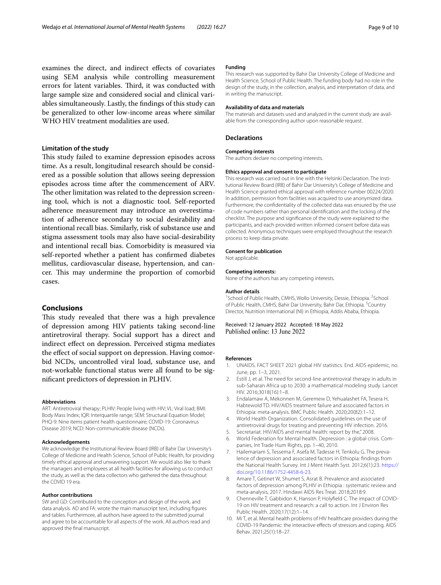examines the direct, and indirect efects of covariates using SEM analysis while controlling measurement errors for latent variables. Third, it was conducted with large sample size and considered social and clinical variables simultaneously. Lastly, the fndings of this study can be generalized to other low-income areas where similar WHO HIV treatment modalities are used.

### **Limitation of the study**

This study failed to examine depression episodes across time. As a result, longitudinal research should be considered as a possible solution that allows seeing depression episodes across time after the commencement of ARV. The other limitation was related to the depression screening tool, which is not a diagnostic tool. Self-reported adherence measurement may introduce an overestimation of adherence secondary to social desirability and intentional recall bias. Similarly, risk of substance use and stigma assessment tools may also have social-desirability and intentional recall bias. Comorbidity is measured via self-reported whether a patient has confrmed diabetes mellitus, cardiovascular disease, hypertension, and cancer. This may undermine the proportion of comorbid cases.

#### **Conclusions**

This study revealed that there was a high prevalence of depression among HIV patients taking second-line antiretroviral therapy. Social support has a direct and indirect efect on depression. Perceived stigma mediates the efect of social support on depression. Having comorbid NCDs, uncontrolled viral load, substance use, and not-workable functional status were all found to be signifcant predictors of depression in PLHIV.

#### **Abbreviations**

ART: Antiretroviral therapy; PLHIV: People living with HIV; VL: Viral load; BMI: Body Mass Index; IQR: Interquartile range; SEM: Structural Equation Model; PHQ-9: Nine items patient health questionnaire; COVID-19: Coronavirus Disease 2019; NCD: Non-communicable disease (NCDs).

#### **Acknowledgements**

We acknowledge the Institutional Review Board (IRB) of Bahir Dar University's College of Medicine and Health Science, School of Public Health, for providing timely ethical approval and unwavering support. We would also like to thank the managers and employees at all health facilities for allowing us to conduct the study, as well as the data collectors who gathered the data throughout the COVID 19 era.

#### **Author contributions**

SW and GD: Contributed to the conception and design of the work, and data analysis. AD and FA: wrote the main manuscript text, including fgures and tables. Furthermore, all authors have agreed to the submitted journal and agree to be accountable for all aspects of the work. All authors read and approved the fnal manuscript.

#### **Funding**

This research was supported by Bahir Dar University College of Medicine and Health Science, School of Public Health. The funding body had no role in the design of the study, in the collection, analysis, and interpretation of data, and in writing the manuscript.

#### **Availability of data and materials**

The materials and datasets used and analyzed in the current study are available from the corresponding author upon reasonable request.

#### **Declarations**

#### **Competing interests**

The authors declare no competing interests.

#### **Ethics approval and consent to participate**

This research was carried out in line with the Helsinki Declaration. The Institutional Review Board (IRB) of Bahir Dar University's College of Medicine and Health Science granted ethical approval with reference number 00224/2020. In addition, permission from facilities was acquired to use anonymized data. Furthermore, the confdentiality of the collected data was ensured by the use of code numbers rather than personal identifcation and the locking of the checklist. The purpose and signifcance of the study were explained to the participants, and each provided written informed consent before data was collected. Anonymous techniques were employed throughout the research process to keep data private.

#### **Consent for publication**

Not applicable.

#### **Competing interests:**

None of the authors has any competing interests.

#### **Author details**

<sup>1</sup> School of Public Health, CMHS, Wollo University, Dessie, Ethiopia. <sup>2</sup> School of Public Health, CMHS, Bahir Dar University, Bahir Dar, Ethiopia. <sup>3</sup>Country Director, Nutrition International (NI) in Ethiopia, Addis Ababa, Ethiopia.

# Received: 12 January 2022 Accepted: 18 May 2022<br>Published online: 13 June 2022

#### **References**

- <span id="page-8-0"></span>1. UNAIDS. FACT SHEET 2021 global HIV statistics. End. AIDS epidemic, no. June, pp. 1–3, 2021.
- <span id="page-8-1"></span>2. Estill J, et al. The need for second-line antiretroviral therapy in adults in sub-Saharan Africa up to 2030: a mathematical modeling study. Lancet HIV. 2016;3018(16):1–8.
- <span id="page-8-2"></span>3. Endalamaw A, Mekonnen M, Geremew D, Yehualashet FA, Tesera H, Habtewold TD. HIV/AIDS treatment failure and associated factors in Ethiopia: meta-analysis. BMC Public Health. 2020;20(82):1–12.
- <span id="page-8-3"></span>4. World Health Organization. Consolidated guidelines on the use of antiretroviral drugs for treating and preventing HIV infection. 2016.
- <span id="page-8-4"></span>5. Secretariat. HIV/AIDS and mental health: report by the," 2008.
- <span id="page-8-5"></span>6. World Federation for Mental health. Depression : a global crisis. Companies, Int Trade Hum Rights, pp. 1–40, 2010.
- <span id="page-8-6"></span>7. Hailemariam S, Tessema F, Asefa M, Tadesse H, Tenkolu G. The prevalence of depression and associated factors in Ethiopia: fndings from the National Health Survey. Int J Ment Health Syst. 2012;6(1):23. [https://](https://doi.org/10.1186/1752-4458-6-23) [doi.org/10.1186/1752-4458-6-23.](https://doi.org/10.1186/1752-4458-6-23)
- <span id="page-8-7"></span>8. Amare T, Getinet W, Shumet S, Asrat B. Prevalence and associated factors of depression among PLHIV in Ethiopia : systematic review and meta-analysis, 2017. Hindawi AIDS Res Treat. 2018;2018:9.
- <span id="page-8-8"></span>9. Chenneville T, Gabbidon K, Hanson P, Holyfeld C. The impact of COVID-19 on HIV treatment and research: a call to action. Int J Environ Res Public Health. 2020;17(12):1–14.
- <span id="page-8-9"></span>10. Mi T, et al. Mental health problems of HIV healthcare providers during the COVID-19 Pandemic: the interactive efects of stressors and coping. AIDS Behav. 2021;25(1):18–27.